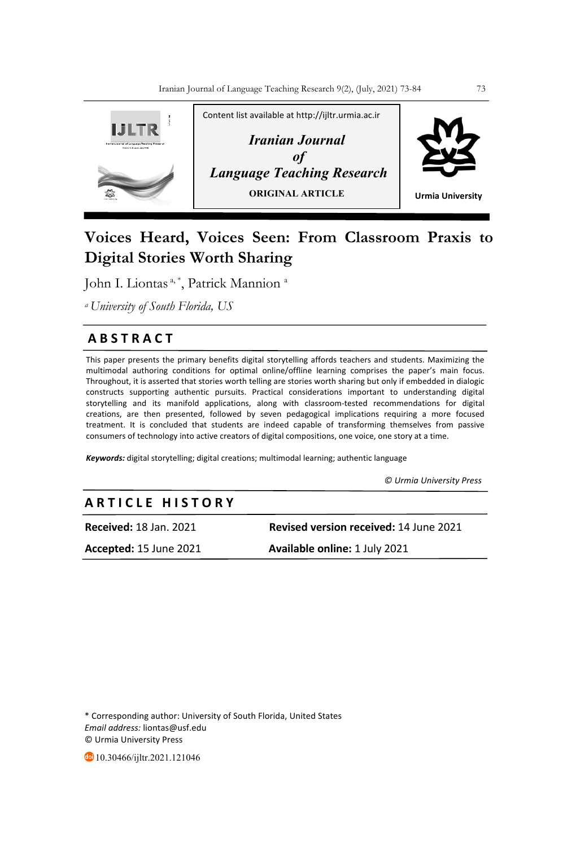

# **Voices Heard, Voices Seen: From Classroom Praxis to Digital Stories Worth Sharing**

John I. Liontas<sup>a, \*</sup>, Patrick Mannion<sup>a</sup>

*a University of South Florida, US*

# **A B S T R A C T**

This paper presents the primary benefits digital storytelling affords teachers and students. Maximizing the multimodal authoring conditions for optimal online/offline learning comprises the paper's main focus. Throughout, it is asserted that stories worth telling are stories worth sharing but only if embedded in dialogic constructs supporting authentic pursuits. Practical considerations important to understanding digital storytelling and its manifold applications, along with classroom-tested recommendations for digital creations, are then presented, followed by seven pedagogical implications requiring a more focused treatment. It is concluded that students are indeed capable of transforming themselves from passive consumers of technology into active creators of digital compositions, one voice, one story at a time.

*Keywords:* digital storytelling; digital creations; multimodal learning; authentic language

 *© Urmia University Press*

# **A R T I C L E H I S T O R Y**

**Received:** 18 Jan. 2021 **Revised version received:** 14 June 2021

**Accepted:** 15 June 2021 **Available online:** 1 July 2021

\* Corresponding author: University of South Florida, United States *Email address:* liontas@usf.edu © Urmia University Press

**40** 10.30466/ijltr.2021.121046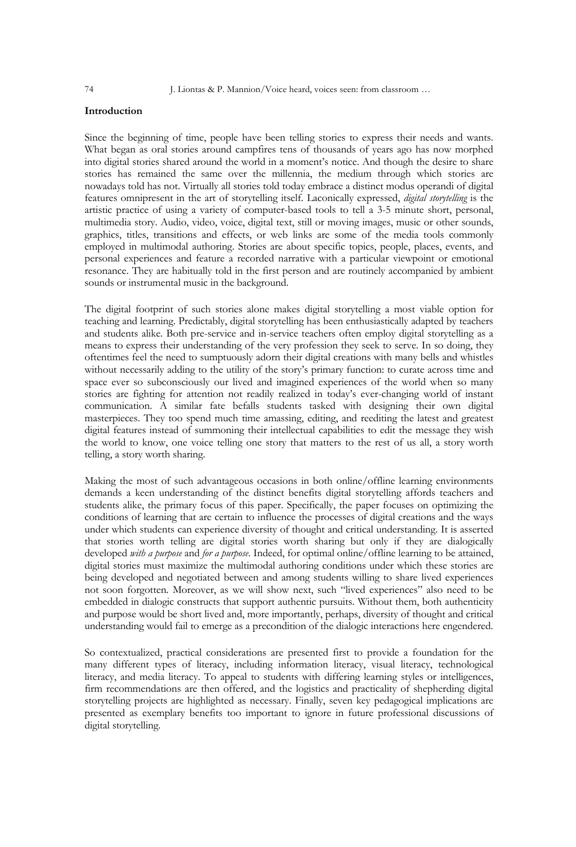# **Introduction**

Since the beginning of time, people have been telling stories to express their needs and wants. What began as oral stories around campfires tens of thousands of years ago has now morphed into digital stories shared around the world in a moment's notice. And though the desire to share stories has remained the same over the millennia, the medium through which stories are nowadays told has not. Virtually all stories told today embrace a distinct modus operandi of digital features omnipresent in the art of storytelling itself. Laconically expressed, *digital storytelling* is the artistic practice of using a variety of computer-based tools to tell a 3-5 minute short, personal, multimedia story. Audio, video, voice, digital text, still or moving images, music or other sounds, graphics, titles, transitions and effects, or web links are some of the media tools commonly employed in multimodal authoring. Stories are about specific topics, people, places, events, and personal experiences and feature a recorded narrative with a particular viewpoint or emotional resonance. They are habitually told in the first person and are routinely accompanied by ambient sounds or instrumental music in the background.

The digital footprint of such stories alone makes digital storytelling a most viable option for teaching and learning. Predictably, digital storytelling has been enthusiastically adapted by teachers and students alike. Both pre-service and in-service teachers often employ digital storytelling as a means to express their understanding of the very profession they seek to serve. In so doing, they oftentimes feel the need to sumptuously adorn their digital creations with many bells and whistles without necessarily adding to the utility of the story's primary function: to curate across time and space ever so subconsciously our lived and imagined experiences of the world when so many stories are fighting for attention not readily realized in today's ever-changing world of instant communication. A similar fate befalls students tasked with designing their own digital masterpieces. They too spend much time amassing, editing, and reediting the latest and greatest digital features instead of summoning their intellectual capabilities to edit the message they wish the world to know, one voice telling one story that matters to the rest of us all, a story worth telling, a story worth sharing.

Making the most of such advantageous occasions in both online/offline learning environments demands a keen understanding of the distinct benefits digital storytelling affords teachers and students alike, the primary focus of this paper. Specifically, the paper focuses on optimizing the conditions of learning that are certain to influence the processes of digital creations and the ways under which students can experience diversity of thought and critical understanding. It is asserted that stories worth telling are digital stories worth sharing but only if they are dialogically developed *with a purpose* and *for a purpose*. Indeed, for optimal online/offline learning to be attained, digital stories must maximize the multimodal authoring conditions under which these stories are being developed and negotiated between and among students willing to share lived experiences not soon forgotten. Moreover, as we will show next, such "lived experiences" also need to be embedded in dialogic constructs that support authentic pursuits. Without them, both authenticity and purpose would be short lived and, more importantly, perhaps, diversity of thought and critical understanding would fail to emerge as a precondition of the dialogic interactions here engendered.

So contextualized, practical considerations are presented first to provide a foundation for the many different types of literacy, including information literacy, visual literacy, technological literacy, and media literacy. To appeal to students with differing learning styles or intelligences, firm recommendations are then offered, and the logistics and practicality of shepherding digital storytelling projects are highlighted as necessary. Finally, seven key pedagogical implications are presented as exemplary benefits too important to ignore in future professional discussions of digital storytelling.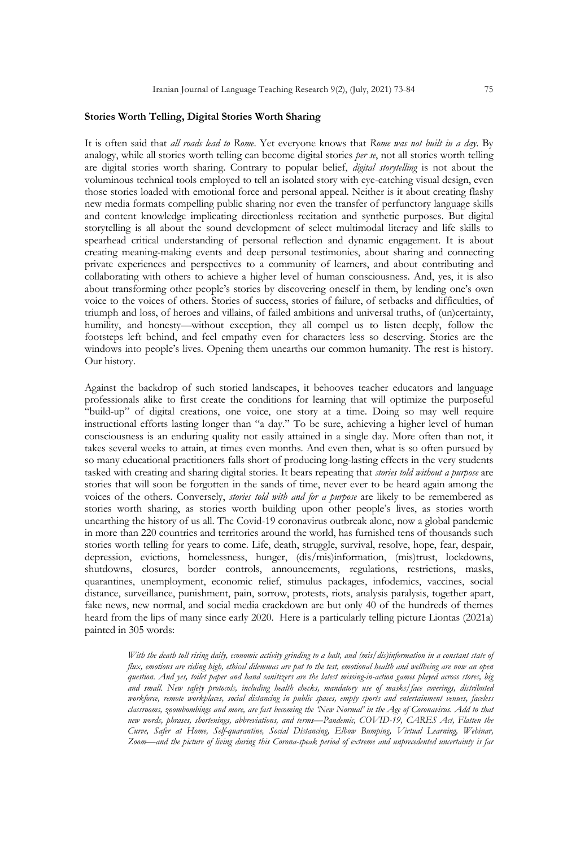### **Stories Worth Telling, Digital Stories Worth Sharing**

It is often said that *all roads lead to Rome*. Yet everyone knows that *Rome was not built in a day*. By analogy, while all stories worth telling can become digital stories *per se*, not all stories worth telling are digital stories worth sharing. Contrary to popular belief, *digital storytelling* is not about the voluminous technical tools employed to tell an isolated story with eye-catching visual design, even those stories loaded with emotional force and personal appeal. Neither is it about creating flashy new media formats compelling public sharing nor even the transfer of perfunctory language skills and content knowledge implicating directionless recitation and synthetic purposes. But digital storytelling is all about the sound development of select multimodal literacy and life skills to spearhead critical understanding of personal reflection and dynamic engagement. It is about creating meaning-making events and deep personal testimonies, about sharing and connecting private experiences and perspectives to a community of learners, and about contributing and collaborating with others to achieve a higher level of human consciousness. And, yes, it is also about transforming other people's stories by discovering oneself in them, by lending one's own voice to the voices of others. Stories of success, stories of failure, of setbacks and difficulties, of triumph and loss, of heroes and villains, of failed ambitions and universal truths, of (un)certainty, humility, and honesty—without exception, they all compel us to listen deeply, follow the footsteps left behind, and feel empathy even for characters less so deserving. Stories are the windows into people's lives. Opening them unearths our common humanity. The rest is history. Our history.

Against the backdrop of such storied landscapes, it behooves teacher educators and language professionals alike to first create the conditions for learning that will optimize the purposeful "build-up" of digital creations, one voice, one story at a time. Doing so may well require instructional efforts lasting longer than "a day." To be sure, achieving a higher level of human consciousness is an enduring quality not easily attained in a single day. More often than not, it takes several weeks to attain, at times even months. And even then, what is so often pursued by so many educational practitioners falls short of producing long-lasting effects in the very students tasked with creating and sharing digital stories. It bears repeating that *stories told without a purpose* are stories that will soon be forgotten in the sands of time, never ever to be heard again among the voices of the others. Conversely, *stories told with and for a purpose* are likely to be remembered as stories worth sharing, as stories worth building upon other people's lives, as stories worth unearthing the history of us all. The Covid-19 coronavirus outbreak alone, now a global pandemic in more than 220 countries and territories around the world, has furnished tens of thousands such stories worth telling for years to come. Life, death, struggle, survival, resolve, hope, fear, despair, depression, evictions, homelessness, hunger, (dis/mis)information, (mis)trust, lockdowns, shutdowns, closures, border controls, announcements, regulations, restrictions, masks, quarantines, unemployment, economic relief, stimulus packages, infodemics, vaccines, social distance, surveillance, punishment, pain, sorrow, protests, riots, analysis paralysis, together apart, fake news, new normal, and social media crackdown are but only 40 of the hundreds of themes heard from the lips of many since early 2020. Here is a particularly telling picture Liontas (2021a) painted in 305 words:

> *With the death toll rising daily, economic activity grinding to a halt, and (mis/dis)information in a constant state of flux, emotions are riding high, ethical dilemmas are put to the test, emotional health and wellbeing are now an open question. And yes, toilet paper and hand sanitizers are the latest missing-in-action games played across stores, big and small. New safety protocols, including health checks, mandatory use of masks/face coverings, distributed workforce, remote workplaces, social distancing in public spaces, empty sports and entertainment venues, faceless classrooms, zoombombings and more, are fast becoming the 'New Normal' in the Age of Coronavirus. Add to that new words, phrases, shortenings, abbreviations, and terms—Pandemic, COVID-19, CARES Act, Flatten the Curve, Safer at Home, Self-quarantine, Social Distancing, Elbow Bumping, Virtual Learning, Webinar, Zoom—and the picture of living during this Corona-speak period of extreme and unprecedented uncertainty is far*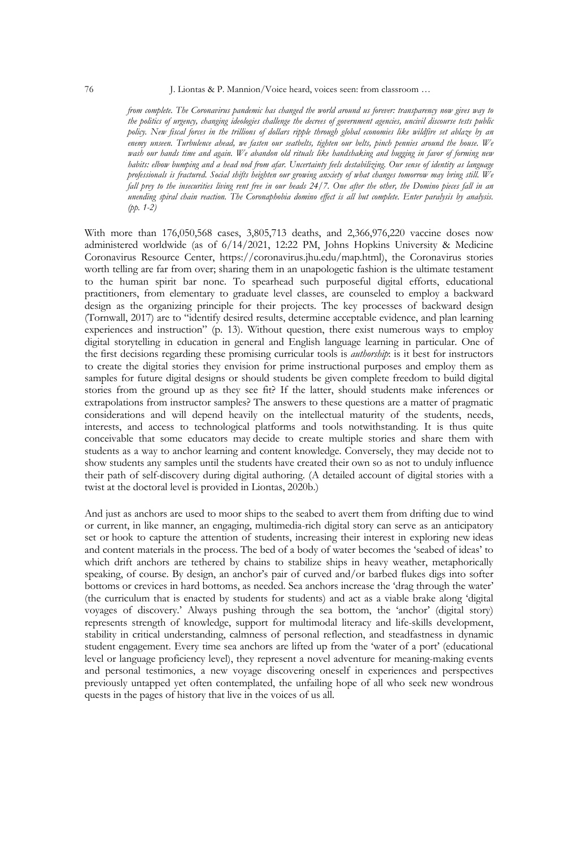#### 76 J. Liontas & P. Mannion/Voice heard, voices seen: from classroom …

*from complete. The Coronavirus pandemic has changed the world around us forever: transparency now gives way to the politics of urgency, changing ideologies challenge the decrees of government agencies, uncivil discourse tests public policy. New fiscal forces in the trillions of dollars ripple through global economies like wildfire set ablaze by an enemy unseen. Turbulence ahead, we fasten our seatbelts, tighten our belts, pinch pennies around the house. We wash our hands time and again. We abandon old rituals like handshaking and hugging in favor of forming new habits: elbow bumping and a head nod from afar. Uncertainty feels destabilizing. Our sense of identity as language professionals is fractured. Social shifts heighten our growing anxiety of what changes tomorrow may bring still. We fall prey to the insecurities living rent free in our heads 24/7. One after the other, the Domino pieces fall in an unending spiral chain reaction. The Coronaphobia domino effect is all but complete. Enter paralysis by analysis. (pp. 1-2)*

With more than 176,050,568 cases, 3,805,713 deaths, and 2,366,976,220 vaccine doses now administered worldwide (as of 6/14/2021, 12:22 PM, Johns Hopkins University & Medicine Coronavirus Resource Center, https://coronavirus.jhu.edu/map.html), the Coronavirus stories worth telling are far from over; sharing them in an unapologetic fashion is the ultimate testament to the human spirit bar none. To spearhead such purposeful digital efforts, educational practitioners, from elementary to graduate level classes, are counseled to employ a backward design as the organizing principle for their projects. The key processes of backward design (Tornwall, 2017) are to "identify desired results, determine acceptable evidence, and plan learning experiences and instruction" (p. 13). Without question, there exist numerous ways to employ digital storytelling in education in general and English language learning in particular. One of the first decisions regarding these promising curricular tools is *authorship*: is it best for instructors to create the digital stories they envision for prime instructional purposes and employ them as samples for future digital designs or should students be given complete freedom to build digital stories from the ground up as they see fit? If the latter, should students make inferences or extrapolations from instructor samples? The answers to these questions are a matter of pragmatic considerations and will depend heavily on the intellectual maturity of the students, needs, interests, and access to technological platforms and tools notwithstanding. It is thus quite conceivable that some educators may decide to create multiple stories and share them with students as a way to anchor learning and content knowledge. Conversely, they may decide not to show students any samples until the students have created their own so as not to unduly influence their path of self-discovery during digital authoring. (A detailed account of digital stories with a twist at the doctoral level is provided in Liontas, 2020b.)

And just as anchors are used to moor ships to the seabed to avert them from drifting due to wind or current, in like manner, an engaging, multimedia-rich digital story can serve as an anticipatory set or hook to capture the attention of students, increasing their interest in exploring new ideas and content materials in the process. The bed of a body of water becomes the 'seabed of ideas' to which drift anchors are tethered by chains to stabilize ships in heavy weather, metaphorically speaking, of course. By design, an anchor's pair of curved and/or barbed flukes digs into softer bottoms or crevices in hard bottoms, as needed. Sea anchors increase the 'drag through the water' (the curriculum that is enacted by students for students) and act as a viable brake along 'digital voyages of discovery.' Always pushing through the sea bottom, the 'anchor' (digital story) represents strength of knowledge, support for multimodal literacy and life-skills development, stability in critical understanding, calmness of personal reflection, and steadfastness in dynamic student engagement. Every time sea anchors are lifted up from the 'water of a port' (educational level or language proficiency level), they represent a novel adventure for meaning-making events and personal testimonies, a new voyage discovering oneself in experiences and perspectives previously untapped yet often contemplated, the unfailing hope of all who seek new wondrous quests in the pages of history that live in the voices of us all.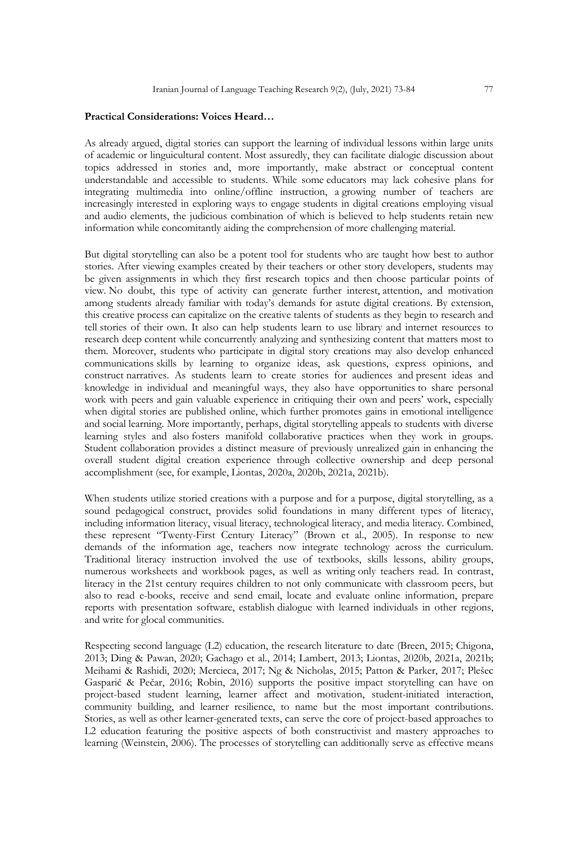### **Practical Considerations: Voices Heard…**

As already argued, digital stories can support the learning of individual lessons within large units of academic or linguicultural content. Most assuredly, they can facilitate dialogic discussion about topics addressed in stories and, more importantly, make abstract or conceptual content understandable and accessible to students. While some educators may lack cohesive plans for integrating multimedia into online/offline instruction, a growing number of teachers are increasingly interested in exploring ways to engage students in digital creations employing visual and audio elements, the judicious combination of which is believed to help students retain new information while concomitantly aiding the comprehension of more challenging material.

But digital storytelling can also be a potent tool for students who are taught how best to author stories. After viewing examples created by their teachers or other story developers, students may be given assignments in which they first research topics and then choose particular points of view. No doubt, this type of activity can generate further interest, attention, and motivation among students already familiar with today's demands for astute digital creations. By extension, this creative process can capitalize on the creative talents of students as they begin to research and tell stories of their own. It also can help students learn to use library and internet resources to research deep content while concurrently analyzing and synthesizing content that matters most to them. Moreover, students who participate in digital story creations may also develop enhanced communications skills by learning to organize ideas, ask questions, express opinions, and construct narratives. As students learn to create stories for audiences and present ideas and knowledge in individual and meaningful ways, they also have opportunities to share personal work with peers and gain valuable experience in critiquing their own and peers' work, especially when digital stories are published online, which further promotes gains in emotional intelligence and social learning. More importantly, perhaps, digital storytelling appeals to students with diverse learning styles and also fosters manifold collaborative practices when they work in groups. Student collaboration provides a distinct measure of previously unrealized gain in enhancing the overall student digital creation experience through collective ownership and deep personal accomplishment (see, for example, Liontas, 2020a, 2020b, 2021a, 2021b).

When students utilize storied creations with a purpose and for a purpose, digital storytelling, as a sound pedagogical construct, provides solid foundations in many different types of literacy, including information literacy, visual literacy, technological literacy, and media literacy. Combined, these represent "Twenty-First Century Literacy" (Brown et al., 2005). In response to new demands of the information age, teachers now integrate technology across the curriculum. Traditional literacy instruction involved the use of textbooks, skills lessons, ability groups, numerous worksheets and workbook pages, as well as writing only teachers read. In contrast, literacy in the 21st century requires children to not only communicate with classroom peers, but also to read e-books, receive and send email, locate and evaluate online information, prepare reports with presentation software, establish dialogue with learned individuals in other regions, and write for glocal communities.

Respecting second language (L2) education, the research literature to date (Breen, 2015; Chigona, 2013; Ding & Pawan, 2020; Gachago et al., 2014; Lambert, 2013; Liontas, 2020b, 2021a, 2021b; Meihami & Rashidi, 2020; Mercieca, 2017; Ng & Nicholas, 2015; Patton & Parker, 2017; Plešec Gasparič & Pečar, 2016; Robin, 2016) supports the positive impact storytelling can have on project-based student learning, learner affect and motivation, student-initiated interaction, community building, and learner resilience, to name but the most important contributions. Stories, as well as other learner-generated texts, can serve the core of project-based approaches to L2 education featuring the positive aspects of both constructivist and mastery approaches to learning (Weinstein, 2006). The processes of storytelling can additionally serve as effective means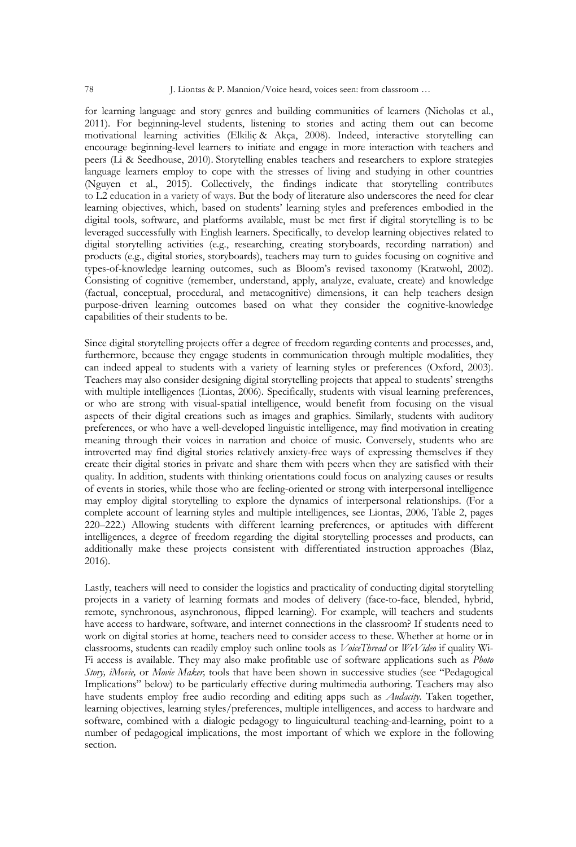for learning language and story genres and building communities of learners (Nicholas et al., 2011). For beginning-level students, listening to stories and acting them out can become motivational learning activities (Elkiliç & Akça, 2008). Indeed, interactive storytelling can encourage beginning-level learners to initiate and engage in more interaction with teachers and peers (Li & Seedhouse, 2010). Storytelling enables teachers and researchers to explore strategies language learners employ to cope with the stresses of living and studying in other countries (Nguyen et al., 2015). Collectively, the findings indicate that storytelling contributes to L2 education in a variety of ways. But the body of literature also underscores the need for clear learning objectives, which, based on students' learning styles and preferences embodied in the digital tools, software, and platforms available, must be met first if digital storytelling is to be leveraged successfully with English learners. Specifically, to develop learning objectives related to digital storytelling activities (e.g., researching, creating storyboards, recording narration) and products (e.g., digital stories, storyboards), teachers may turn to guides focusing on cognitive and types-of-knowledge learning outcomes, such as Bloom's revised taxonomy (Kratwohl, 2002). Consisting of cognitive (remember, understand, apply, analyze, evaluate, create) and knowledge (factual, conceptual, procedural, and metacognitive) dimensions, it can help teachers design purpose-driven learning outcomes based on what they consider the cognitive-knowledge capabilities of their students to be.

Since digital storytelling projects offer a degree of freedom regarding contents and processes, and, furthermore, because they engage students in communication through multiple modalities, they can indeed appeal to students with a variety of learning styles or preferences (Oxford, 2003). Teachers may also consider designing digital storytelling projects that appeal to students' strengths with multiple intelligences (Liontas, 2006). Specifically, students with visual learning preferences, or who are strong with visual-spatial intelligence, would benefit from focusing on the visual aspects of their digital creations such as images and graphics. Similarly, students with auditory preferences, or who have a well-developed linguistic intelligence, may find motivation in creating meaning through their voices in narration and choice of music. Conversely, students who are introverted may find digital stories relatively anxiety-free ways of expressing themselves if they create their digital stories in private and share them with peers when they are satisfied with their quality. In addition, students with thinking orientations could focus on analyzing causes or results of events in stories, while those who are feeling-oriented or strong with interpersonal intelligence may employ digital storytelling to explore the dynamics of interpersonal relationships. (For a complete account of learning styles and multiple intelligences, see Liontas, 2006, Table 2, pages 220–222.) Allowing students with different learning preferences, or aptitudes with different intelligences, a degree of freedom regarding the digital storytelling processes and products, can additionally make these projects consistent with differentiated instruction approaches (Blaz, 2016).

Lastly, teachers will need to consider the logistics and practicality of conducting digital storytelling projects in a variety of learning formats and modes of delivery (face-to-face, blended, hybrid, remote, synchronous, asynchronous, flipped learning). For example, will teachers and students have access to hardware, software, and internet connections in the classroom? If students need to work on digital stories at home, teachers need to consider access to these. Whether at home or in classrooms, students can readily employ such online tools as *VoiceThread* or *WeVideo* if quality Wi-Fi access is available. They may also make profitable use of software applications such as *Photo Story, iMovie,* or *Movie Maker,* tools that have been shown in successive studies (see "Pedagogical Implications" below) to be particularly effective during multimedia authoring. Teachers may also have students employ free audio recording and editing apps such as *Audacity*. Taken together, learning objectives, learning styles/preferences, multiple intelligences, and access to hardware and software, combined with a dialogic pedagogy to linguicultural teaching-and-learning, point to a number of pedagogical implications, the most important of which we explore in the following section.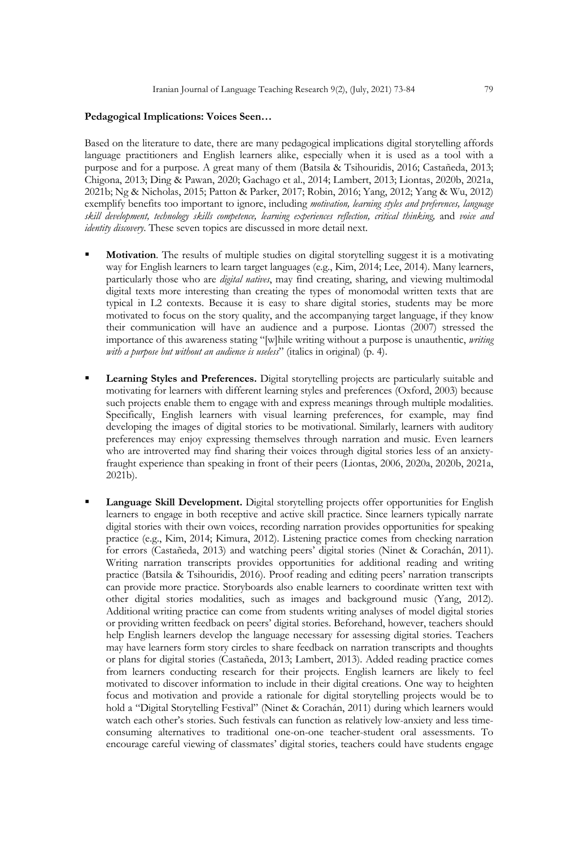# **Pedagogical Implications: Voices Seen…**

Based on the literature to date, there are many pedagogical implications digital storytelling affords language practitioners and English learners alike, especially when it is used as a tool with a purpose and for a purpose. A great many of them (Batsila & Tsihouridis, 2016; Castañeda, 2013; Chigona, 2013; Ding & Pawan, 2020; Gachago et al., 2014; Lambert, 2013; Liontas, 2020b, 2021a, 2021b; Ng & Nicholas, 2015; Patton & Parker, 2017; Robin, 2016; Yang, 2012; Yang & Wu, 2012) exemplify benefits too important to ignore, including *motivation, learning styles and preferences, language skill development, technology skills competence, learning experiences reflection, critical thinking,* and *voice and identity discovery*. These seven topics are discussed in more detail next.

- § **Motivation**. The results of multiple studies on digital storytelling suggest it is a motivating way for English learners to learn target languages (e.g., Kim, 2014; Lee, 2014). Many learners, particularly those who are *digital natives*, may find creating, sharing, and viewing multimodal digital texts more interesting than creating the types of monomodal written texts that are typical in L2 contexts. Because it is easy to share digital stories, students may be more motivated to focus on the story quality, and the accompanying target language, if they know their communication will have an audience and a purpose. Liontas (2007) stressed the importance of this awareness stating "[w]hile writing without a purpose is unauthentic, *writing with a purpose but without an audience is useless*" (italics in original) (p. 4).
- § **Learning Styles and Preferences.** Digital storytelling projects are particularly suitable and motivating for learners with different learning styles and preferences (Oxford, 2003) because such projects enable them to engage with and express meanings through multiple modalities. Specifically, English learners with visual learning preferences, for example, may find developing the images of digital stories to be motivational. Similarly, learners with auditory preferences may enjoy expressing themselves through narration and music. Even learners who are introverted may find sharing their voices through digital stories less of an anxietyfraught experience than speaking in front of their peers (Liontas, 2006, 2020a, 2020b, 2021a, 2021b).
- Language Skill Development. Digital storytelling projects offer opportunities for English learners to engage in both receptive and active skill practice. Since learners typically narrate digital stories with their own voices, recording narration provides opportunities for speaking practice (e.g., Kim, 2014; Kimura, 2012). Listening practice comes from checking narration for errors (Castañeda, 2013) and watching peers' digital stories (Ninet & Corachán, 2011). Writing narration transcripts provides opportunities for additional reading and writing practice (Batsila & Tsihouridis, 2016). Proof reading and editing peers' narration transcripts can provide more practice. Storyboards also enable learners to coordinate written text with other digital stories modalities, such as images and background music (Yang, 2012). Additional writing practice can come from students writing analyses of model digital stories or providing written feedback on peers' digital stories. Beforehand, however, teachers should help English learners develop the language necessary for assessing digital stories. Teachers may have learners form story circles to share feedback on narration transcripts and thoughts or plans for digital stories (Castañeda, 2013; Lambert, 2013). Added reading practice comes from learners conducting research for their projects. English learners are likely to feel motivated to discover information to include in their digital creations. One way to heighten focus and motivation and provide a rationale for digital storytelling projects would be to hold a "Digital Storytelling Festival" (Ninet & Corachán, 2011) during which learners would watch each other's stories. Such festivals can function as relatively low-anxiety and less timeconsuming alternatives to traditional one-on-one teacher-student oral assessments. To encourage careful viewing of classmates' digital stories, teachers could have students engage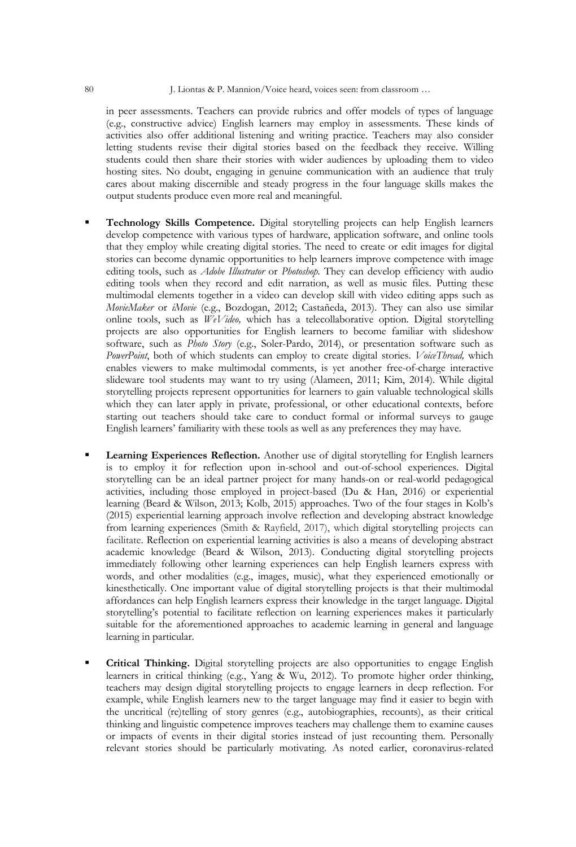in peer assessments. Teachers can provide rubrics and offer models of types of language (e.g., constructive advice) English learners may employ in assessments. These kinds of activities also offer additional listening and writing practice. Teachers may also consider letting students revise their digital stories based on the feedback they receive. Willing students could then share their stories with wider audiences by uploading them to video hosting sites. No doubt, engaging in genuine communication with an audience that truly cares about making discernible and steady progress in the four language skills makes the output students produce even more real and meaningful.

- § **Technology Skills Competence.** Digital storytelling projects can help English learners develop competence with various types of hardware, application software, and online tools that they employ while creating digital stories. The need to create or edit images for digital stories can become dynamic opportunities to help learners improve competence with image editing tools, such as *Adobe Illustrator* or *Photoshop.* They can develop efficiency with audio editing tools when they record and edit narration, as well as music files. Putting these multimodal elements together in a video can develop skill with video editing apps such as *MovieMaker* or *iMovie* (e.g., Bozdogan, 2012; Castañeda, 2013). They can also use similar online tools, such as *WeVideo,* which has a telecollaborative option. Digital storytelling projects are also opportunities for English learners to become familiar with slideshow software, such as *Photo Story* (e.g., Soler-Pardo, 2014), or presentation software such as *PowerPoint*, both of which students can employ to create digital stories. *VoiceThread,* which enables viewers to make multimodal comments, is yet another free-of-charge interactive slideware tool students may want to try using (Alameen, 2011; Kim, 2014). While digital storytelling projects represent opportunities for learners to gain valuable technological skills which they can later apply in private, professional, or other educational contexts, before starting out teachers should take care to conduct formal or informal surveys to gauge English learners' familiarity with these tools as well as any preferences they may have.
- § **Learning Experiences Reflection.** Another use of digital storytelling for English learners is to employ it for reflection upon in-school and out-of-school experiences. Digital storytelling can be an ideal partner project for many hands-on or real-world pedagogical activities, including those employed in project-based (Du & Han, 2016) or experiential learning (Beard & Wilson, 2013; Kolb, 2015) approaches. Two of the four stages in Kolb's (2015) experiential learning approach involve reflection and developing abstract knowledge from learning experiences (Smith & Rayfield, 2017), which digital storytelling projects can facilitate. Reflection on experiential learning activities is also a means of developing abstract academic knowledge (Beard & Wilson, 2013). Conducting digital storytelling projects immediately following other learning experiences can help English learners express with words, and other modalities (e.g., images, music), what they experienced emotionally or kinesthetically. One important value of digital storytelling projects is that their multimodal affordances can help English learners express their knowledge in the target language. Digital storytelling's potential to facilitate reflection on learning experiences makes it particularly suitable for the aforementioned approaches to academic learning in general and language learning in particular.
- **Critical Thinking.** Digital storytelling projects are also opportunities to engage English learners in critical thinking (e.g., Yang & Wu, 2012). To promote higher order thinking, teachers may design digital storytelling projects to engage learners in deep reflection. For example, while English learners new to the target language may find it easier to begin with the uncritical (re)telling of story genres (e.g., autobiographies, recounts), as their critical thinking and linguistic competence improves teachers may challenge them to examine causes or impacts of events in their digital stories instead of just recounting them. Personally relevant stories should be particularly motivating. As noted earlier, coronavirus-related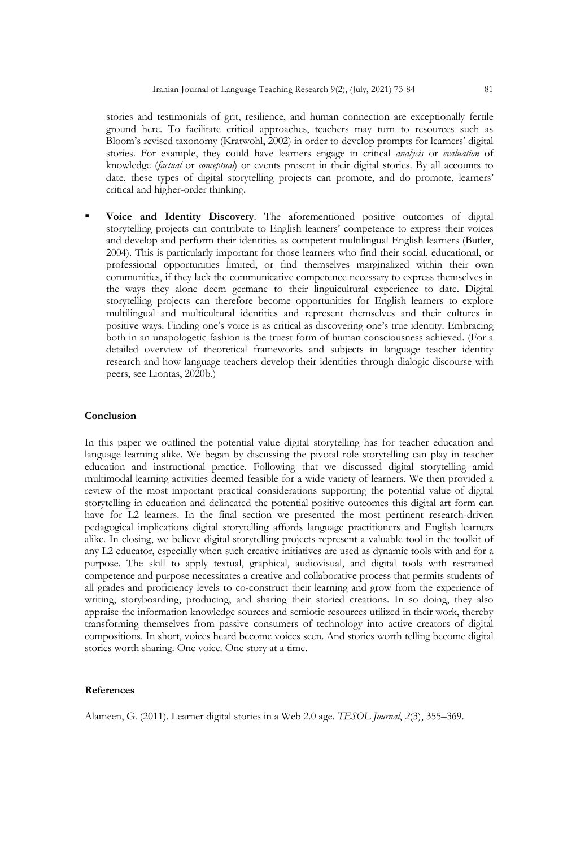stories and testimonials of grit, resilience, and human connection are exceptionally fertile ground here. To facilitate critical approaches, teachers may turn to resources such as Bloom's revised taxonomy (Kratwohl, 2002) in order to develop prompts for learners' digital stories. For example, they could have learners engage in critical *analysis* or *evaluation* of knowledge (*factual* or *conceptual*) or events present in their digital stories. By all accounts to date, these types of digital storytelling projects can promote, and do promote, learners' critical and higher-order thinking.

§ **Voice and Identity Discovery**. The aforementioned positive outcomes of digital storytelling projects can contribute to English learners' competence to express their voices and develop and perform their identities as competent multilingual English learners (Butler, 2004). This is particularly important for those learners who find their social, educational, or professional opportunities limited, or find themselves marginalized within their own communities, if they lack the communicative competence necessary to express themselves in the ways they alone deem germane to their linguicultural experience to date. Digital storytelling projects can therefore become opportunities for English learners to explore multilingual and multicultural identities and represent themselves and their cultures in positive ways. Finding one's voice is as critical as discovering one's true identity. Embracing both in an unapologetic fashion is the truest form of human consciousness achieved. (For a detailed overview of theoretical frameworks and subjects in language teacher identity research and how language teachers develop their identities through dialogic discourse with peers, see Liontas, 2020b.)

# **Conclusion**

In this paper we outlined the potential value digital storytelling has for teacher education and language learning alike. We began by discussing the pivotal role storytelling can play in teacher education and instructional practice. Following that we discussed digital storytelling amid multimodal learning activities deemed feasible for a wide variety of learners. We then provided a review of the most important practical considerations supporting the potential value of digital storytelling in education and delineated the potential positive outcomes this digital art form can have for L2 learners. In the final section we presented the most pertinent research-driven pedagogical implications digital storytelling affords language practitioners and English learners alike. In closing, we believe digital storytelling projects represent a valuable tool in the toolkit of any L2 educator, especially when such creative initiatives are used as dynamic tools with and for a purpose. The skill to apply textual, graphical, audiovisual, and digital tools with restrained competence and purpose necessitates a creative and collaborative process that permits students of all grades and proficiency levels to co-construct their learning and grow from the experience of writing, storyboarding, producing, and sharing their storied creations. In so doing, they also appraise the information knowledge sources and semiotic resources utilized in their work, thereby transforming themselves from passive consumers of technology into active creators of digital compositions. In short, voices heard become voices seen. And stories worth telling become digital stories worth sharing. One voice. One story at a time.

# **References**

Alameen, G. (2011). Learner digital stories in a Web 2.0 age. *TESOL Journal*, *2*(3), 355–369.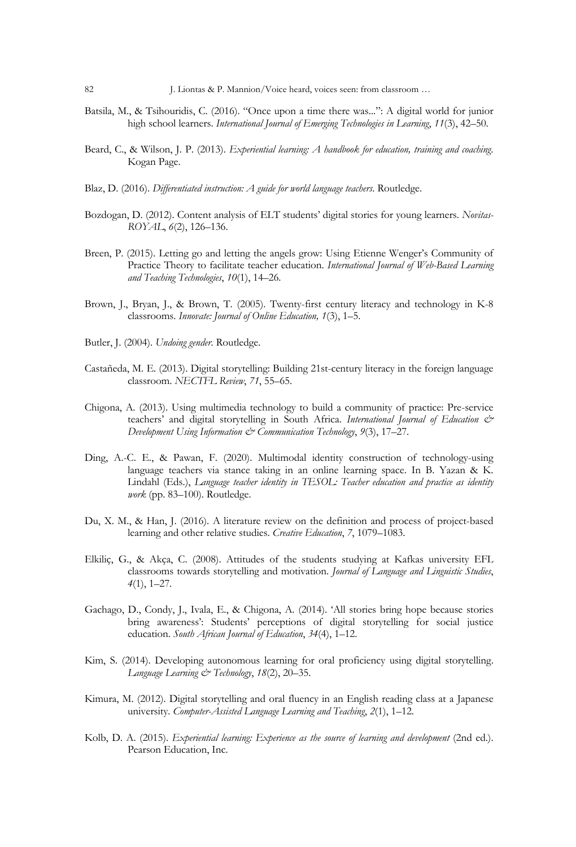- Batsila, M., & Tsihouridis, C. (2016). "Once upon a time there was...": A digital world for junior high school learners. *International Journal of Emerging Technologies in Learning*, *11*(3), 42–50.
- Beard, C., & Wilson, J. P. (2013). *Experiential learning: A handbook for education, training and coaching*. Kogan Page.
- Blaz, D. (2016). *Differentiated instruction: A guide for world language teachers*. Routledge.
- Bozdogan, D. (2012). Content analysis of ELT students' digital stories for young learners. *Novitas-ROYAL*, *6*(2), 126–136.
- Breen, P. (2015). Letting go and letting the angels grow: Using Etienne Wenger's Community of Practice Theory to facilitate teacher education. *International Journal of Web-Based Learning and Teaching Technologies*, *10*(1), 14–26.
- Brown, J., Bryan, J., & Brown, T. (2005). Twenty-first century literacy and technology in K-8 classrooms. *Innovate: Journal of Online Education, 1*(3), 1–5.
- Butler, J. (2004). *Undoing gender*. Routledge.
- Castañeda, M. E. (2013). Digital storytelling: Building 21st-century literacy in the foreign language classroom. *NECTFL Review*, *71*, 55–65.
- Chigona, A. (2013). Using multimedia technology to build a community of practice: Pre-service teachers' and digital storytelling in South Africa. *International Journal of Education & Development Using Information & Communication Technology*, *9*(3), 17–27.
- Ding, A.-C. E., & Pawan, F. (2020). Multimodal identity construction of technology-using language teachers via stance taking in an online learning space. In B. Yazan & K. Lindahl (Eds.), *Language teacher identity in TESOL: Teacher education and practice as identity work* (pp. 83–100). Routledge.
- Du, X. M., & Han, J. (2016). A literature review on the definition and process of project-based learning and other relative studies. *Creative Education*, *7*, 1079–1083.
- Elkiliç, G., & Akça, C. (2008). Attitudes of the students studying at Kafkas university EFL classrooms towards storytelling and motivation. *Journal of Language and Linguistic Studies*, *4*(1), 1–27.
- Gachago, D., Condy, J., Ivala, E., & Chigona, A. (2014). 'All stories bring hope because stories bring awareness': Students' perceptions of digital storytelling for social justice education. *South African Journal of Education*, *34*(4), 1–12.
- Kim, S. (2014). Developing autonomous learning for oral proficiency using digital storytelling. *Language Learning & Technology*, *18*(2), 20–35.
- Kimura, M. (2012). Digital storytelling and oral fluency in an English reading class at a Japanese university. *Computer-Assisted Language Learning and Teaching*, *2*(1), 1–12.
- Kolb, D. A. (2015). *Experiential learning: Experience as the source of learning and development* (2nd ed.). Pearson Education, Inc.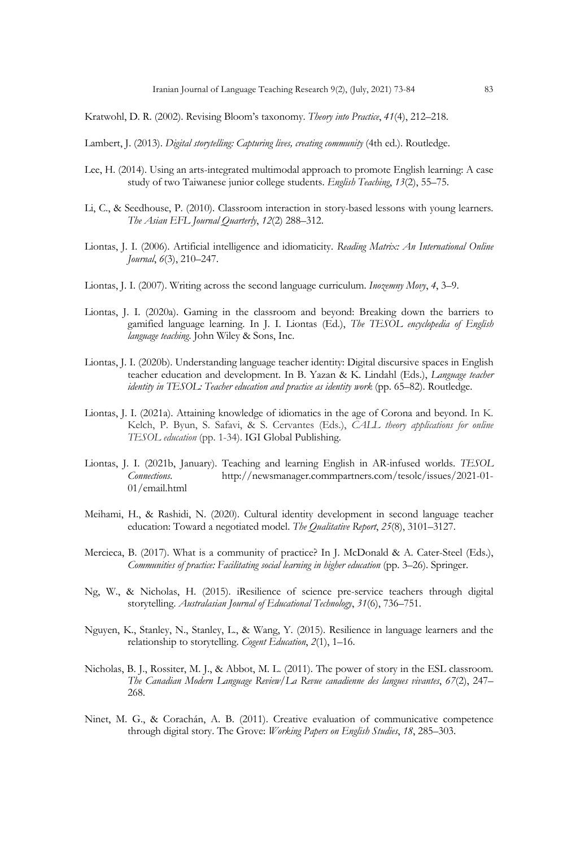Kratwohl, D. R. (2002). Revising Bloom's taxonomy. *Theory into Practice*, *41*(4), 212–218.

Lambert, J. (2013). *Digital storytelling: Capturing lives, creating community* (4th ed.). Routledge.

- Lee, H. (2014). Using an arts-integrated multimodal approach to promote English learning: A case study of two Taiwanese junior college students. *English Teaching*, *13*(2), 55–75.
- Li, C., & Seedhouse, P. (2010). Classroom interaction in story-based lessons with young learners. *The Asian EFL Journal Quarterly*, *12*(2) 288–312.
- Liontas, J. I. (2006). Artificial intelligence and idiomaticity. *Reading Matrix: An International Online Journal*, *6*(3), 210–247.
- Liontas, J. I. (2007). Writing across the second language curriculum. *Inozemny Movy*, *4*, 3–9.
- Liontas, J. I. (2020a). Gaming in the classroom and beyond: Breaking down the barriers to gamified language learning. In J. I. Liontas (Ed.), *The TESOL encyclopedia of English language teaching*. John Wiley & Sons, Inc.
- Liontas, J. I. (2020b). Understanding language teacher identity: Digital discursive spaces in English teacher education and development. In B. Yazan & K. Lindahl (Eds.), *Language teacher identity in TESOL: Teacher education and practice as identity work* (pp. 65–82). Routledge.
- Liontas, J. I. (2021a). Attaining knowledge of idiomatics in the age of Corona and beyond. In K. Kelch, P. Byun, S. Safavi, & S. Cervantes (Eds.), *CALL theory applications for online TESOL education* (pp. 1-34). IGI Global Publishing.
- Liontas, J. I. (2021b, January). Teaching and learning English in AR-infused worlds. *TESOL Connections*. http://newsmanager.commpartners.com/tesolc/issues/2021-01- 01/email.html
- Meihami, H., & Rashidi, N. (2020). Cultural identity development in second language teacher education: Toward a negotiated model. *The Qualitative Report*, *25*(8), 3101–3127.
- Mercieca, B. (2017). What is a community of practice? In J. McDonald & A. Cater-Steel (Eds.), *Communities of practice: Facilitating social learning in higher education* (pp. 3–26). Springer.
- Ng, W., & Nicholas, H. (2015). iResilience of science pre-service teachers through digital storytelling. *Australasian Journal of Educational Technology*, *31*(6), 736–751.
- Nguyen, K., Stanley, N., Stanley, L., & Wang, Y. (2015). Resilience in language learners and the relationship to storytelling. *Cogent Education*, *2*(1), 1–16.
- Nicholas, B. J., Rossiter, M. J., & Abbot, M. L. (2011). The power of story in the ESL classroom. *The Canadian Modern Language Review/La Revue canadienne des langues vivantes*, *67*(2), 247– 268.
- Ninet, M. G., & Corachán, A. B. (2011). Creative evaluation of communicative competence through digital story. The Grove: *Working Papers on English Studies*, *18*, 285–303.